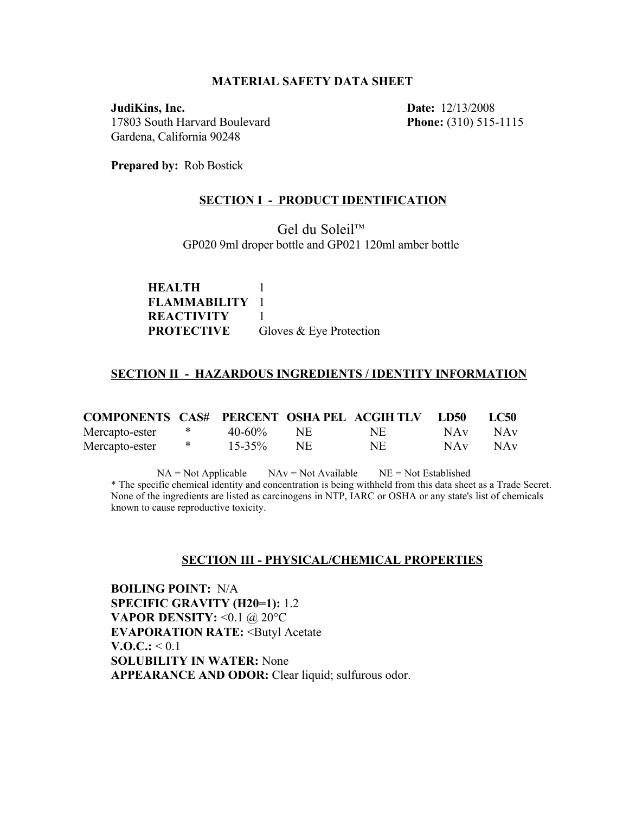#### **MATERIAL SAFETY DATA SHEET**

**JudiKins, Inc. Date:** 12/13/2008 17803 South Harvard Boulevard **Phone:** (310) 515-1115 Gardena, California 90248

**Prepared by:** Rob Bostick

#### **SECTION I - PRODUCT IDENTIFICATION**

Gel du Soleil™ GP020 9ml droper bottle and GP021 120ml amber bottle

**HEALTH** 1 **FLAMMABILITY** 1 **REACTIVITY** 1 **PROTECTIVE** Gloves & Eye Protection

#### **SECTION II - HAZARDOUS INGREDIENTS / IDENTITY INFORMATION**

| <b>COMPONENTS CAS# PERCENT OSHAPEL ACGIHTLY LD50</b> |        |              |     |           | LC50                                        |
|------------------------------------------------------|--------|--------------|-----|-----------|---------------------------------------------|
| Mercapto-ester                                       | $\ast$ | $40-60\%$ NE |     | NE.       | NA <sub>V</sub> NA <sub>V</sub>             |
| Mercapto-ester                                       | ⋇      | $15 - 35\%$  | NE. | <b>NE</b> | NA <sub>v</sub> N <sub>A</sub> <sub>v</sub> |

 $NA = Not Applied$   $NAv = Not Available$   $NE = Not Established$ \* The specific chemical identity and concentration is being withheld from this data sheet as a Trade Secret. None of the ingredients are listed as carcinogens in NTP, IARC or OSHA or any state's list of chemicals known to cause reproductive toxicity.

#### **SECTION III - PHYSICAL/CHEMICAL PROPERTIES**

**BOILING POINT:** N/A **SPECIFIC GRAVITY (H20=1):** 1.2 **VAPOR DENSITY: < 0.1 @ 20°C EVAPORATION RATE:** <Butyl Acetate  $V.0.C.: < 0.1$ **SOLUBILITY IN WATER:** None **APPEARANCE AND ODOR:** Clear liquid; sulfurous odor.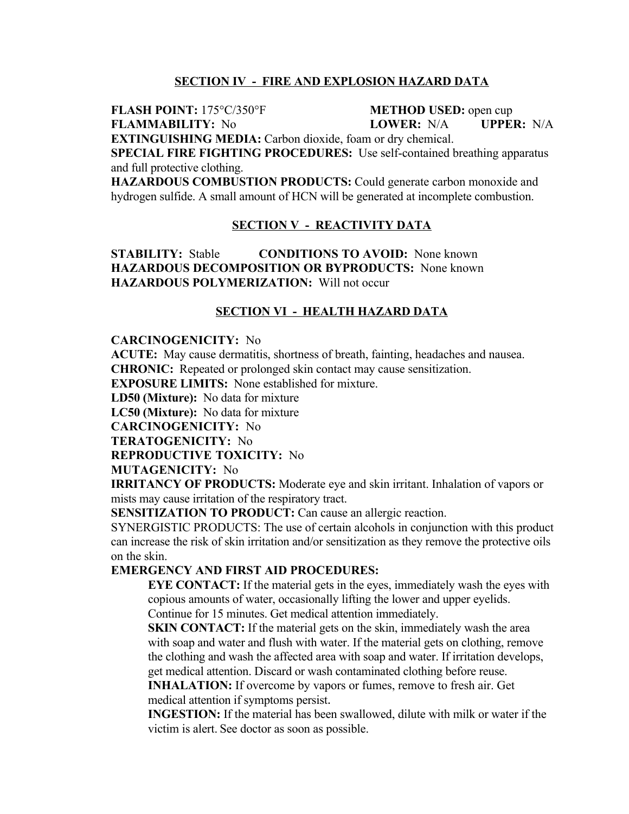# **SECTION IV - FIRE AND EXPLOSION HAZARD DATA**

**FLASH POINT:** 175°C/350°F **METHOD USED:** open cup

**FLAMMABILITY:** No **LOWER:** N/A **UPPER:** N/A

**EXTINGUISHING MEDIA:** Carbon dioxide, foam or dry chemical.

**SPECIAL FIRE FIGHTING PROCEDURES:** Use self-contained breathing apparatus and full protective clothing.

**HAZARDOUS COMBUSTION PRODUCTS:** Could generate carbon monoxide and hydrogen sulfide. A small amount of HCN will be generated at incomplete combustion.

# **SECTION V - REACTIVITY DATA**

**STABILITY:** Stable **CONDITIONS TO AVOID:** None known **HAZARDOUS DECOMPOSITION OR BYPRODUCTS:** None known **HAZARDOUS POLYMERIZATION:** Will not occur

### **SECTION VI - HEALTH HAZARD DATA**

#### **CARCINOGENICITY:** No

**ACUTE:** May cause dermatitis, shortness of breath, fainting, headaches and nausea. **CHRONIC:** Repeated or prolonged skin contact may cause sensitization.

**EXPOSURE LIMITS:** None established for mixture.

**LD50 (Mixture):** No data for mixture

**LC50 (Mixture):** No data for mixture

**CARCINOGENICITY:** No

**TERATOGENICITY:** No

**REPRODUCTIVE TOXICITY:** No

**MUTAGENICITY:** No

**IRRITANCY OF PRODUCTS:** Moderate eye and skin irritant. Inhalation of vapors or mists may cause irritation of the respiratory tract.

**SENSITIZATION TO PRODUCT:** Can cause an allergic reaction.

SYNERGISTIC PRODUCTS: The use of certain alcohols in conjunction with this product can increase the risk of skin irritation and/or sensitization as they remove the protective oils on the skin.

### **EMERGENCY AND FIRST AID PROCEDURES:**

**EYE CONTACT:** If the material gets in the eyes, immediately wash the eyes with copious amounts of water, occasionally lifting the lower and upper eyelids. Continue for 15 minutes. Get medical attention immediately.

**SKIN CONTACT:** If the material gets on the skin, immediately wash the area with soap and water and flush with water. If the material gets on clothing, remove the clothing and wash the affected area with soap and water. If irritation develops, get medical attention. Discard or wash contaminated clothing before reuse.

**INHALATION:** If overcome by vapors or fumes, remove to fresh air. Get medical attention if symptoms persist.

**INGESTION:** If the material has been swallowed, dilute with milk or water if the victim is alert. See doctor as soon as possible.